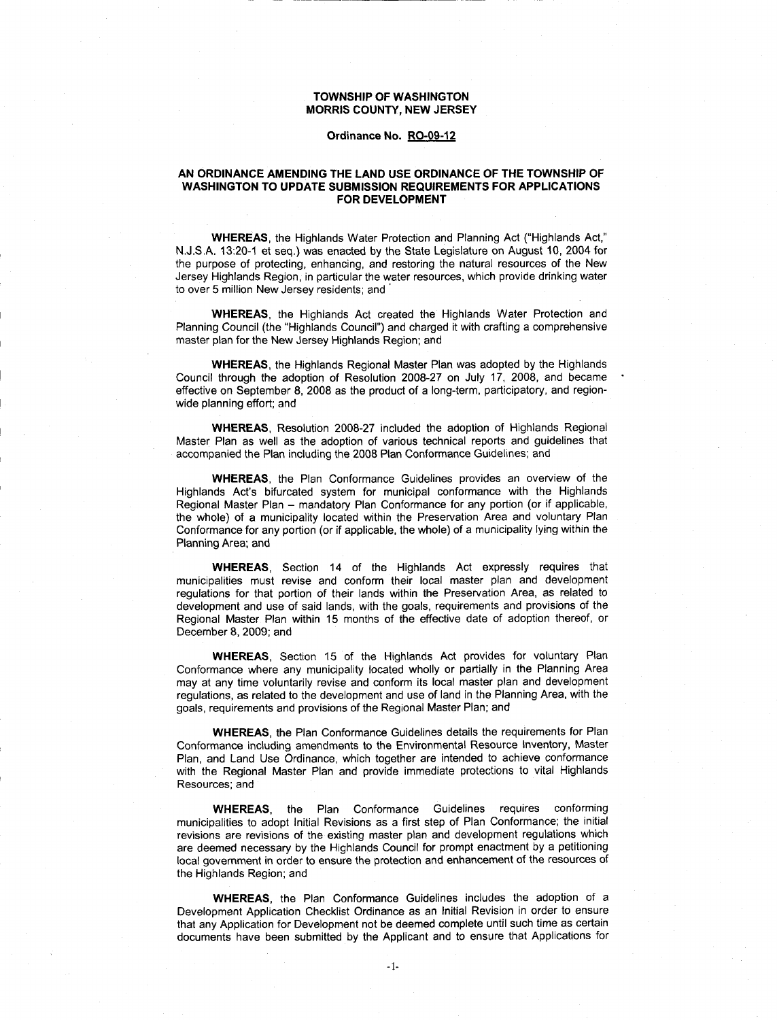# TOWNSHIP OF WASHINGTON MORRIS COUNTY, NEW JERSEY<br>Ordinance No. RO-09-12

### AN ORDINANCE AMENDING THE LAND USE ORDINANCE OF THE TOWNSHIP OF WASHINGTON TO UPDATE SUBMISSION REQUIREMENTS FOR APPLICATIONS FOR DEVELOPMENT

N.J.S.A. 13:20-1 et seq.) was enacted by the State Legislature on August 10, 2004 for WHEREAS, the Highlands Water Protection and Planning Act ("Highlands Act," FOR DEVELOPMENT<br>WHEREAS, the Highlands Water Protection and Planning Act ("Highlands Act,"<br>N.J.S.A. 13:20-1 et seq.) was enacted by the State Legislature on August 10, 2004 for<br>the purpose of protecting, enhancing, and res Jersey Highlands Region, in particular the water resources, which provide drinking water to over 5 million New Jersey residents; and

WHEREAS, the Highlands Act created the Highlands Water Protection and Planning Council (the "Highlands Council") and charged it with crafting a comprehensive master plan for the New Jersey Highlands Region; and

WHEREAS, the Highlands Regional Master Plan was adopted by the Highlands Council through the adoption of Resolution 2008-27 on July 17, 2008, and became Council through the adoption of Resolution 2008-27 on July 17, 2008, and became<br>effective on September 8, 2008 as the product of a long-term, participatory, and regionwide planning effort; and

WHEREAS, Resolution 2008-27 included the adoption of Highlands Regional Master Plan as well as the adoption of various technical reports and guidelines that accompanied the Plan including the 2008 Plan Conformance Guidelines; and

WHEREAS, the Plan Conformance Guidelines provides an overview of the Highlands Act's bifurcated system for municipal conformance with the Highlands Regional Master Plan - mandatory Plan Conformance for any portion (or if applicable, the whole) of a municipality located within the Preservation Area and voluntary Plan Conformance for any portion (or if applicable, the whole) of a municipality lying within the Planning Area; and

WHEREAS, Section 14 of the Highlands Act expressly requires that municipalities must revise and conform their local master plan and development regulations for that portion of their lands within the Preservation Area, as related to development and use of said lands, with the goals, requirements and provisions of the Regional Master Plan within 15 months of the effective date of adoption thereof, or December 8, 2009; and

WHEREAS, Section 15 of the Highlands Act provides for voluntary Plan Conformance where any municipality located wholly or partially in the Planning Area may at any time voluntarily revise and conform its local master plan and development regulations, as related to the development and use of land in the Planning Area, with the goals, requirements and provisions of the Regional Master Plan; and

WHEREAS, the Plan Conformance Guidelines details the requirements for Plan Conformance including amendments to the Environmental Resource Inventory, Master Plan, and Land Use Ordinance, which together are intended to achieve conformance with the Regional Master Plan and provide immediate protections to vital Highlands Resources; and

WHEREAS, the Plan Conformance Guidelines requires conforming municipalities to adopt Initial Revisions as a first step of Plan Conformance; the initial revisions are revisions of the existing master plan and development regulations which are deemed necessary by the Highlands Council for prompt enactment by a petitioning local government in order to ensure the protection and enhancement of the resources of the Highlands Region; and

WHEREAS, the Plan Conformance Guidelines includes the adoption of a Development Application Checklist Ordinance as an Initial Revision in order to ensure that any Application for Development not be deemed complete until such time as certain documents have been submitted by the Applicant and to ensure that Applications for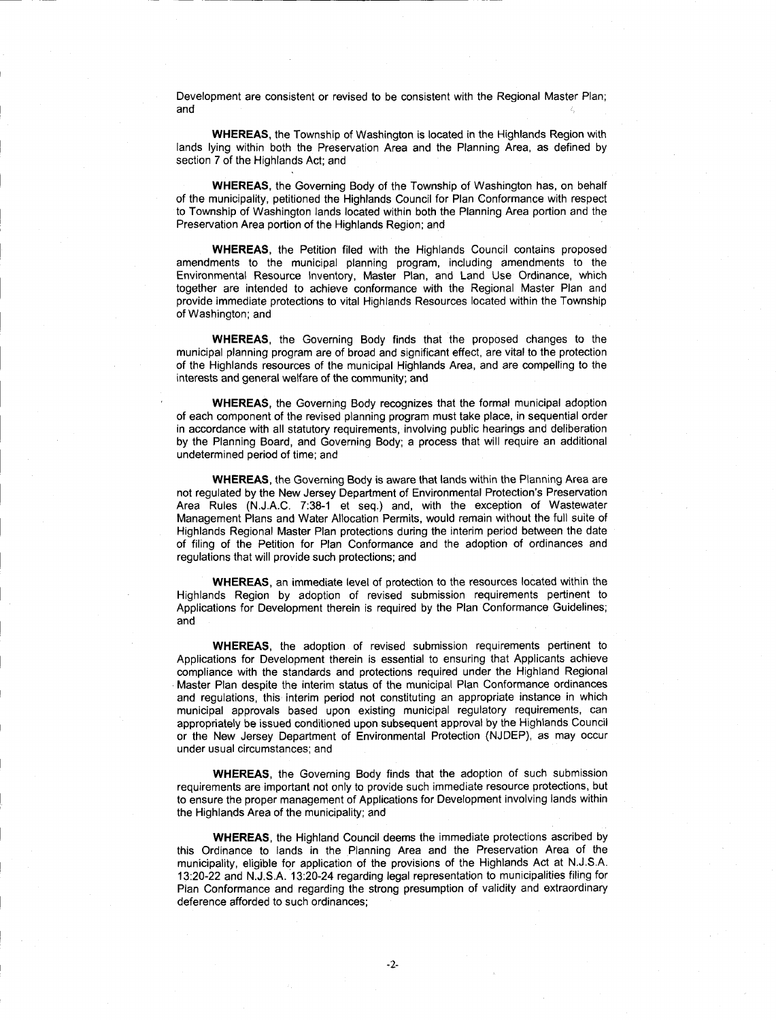Development are consistent or revised to be consistent with the Regional Master Plan and

WHEREAS, the Township of Washington is located in the Highlands Region with lands lying within both the Preservation Area and the Planning Area as defined by section 7 of the Highlands Act; and

WHEREAS, the Governing Body of the Township of Washington has, on behalf of the municipality, petitioned the Highlands Council for Plan Conformance with respect to Township of Washington lands located within both the Planning Area portion and the Preservation Area portion of the Highlands Region; and

WHEREAS, the Petition filed with the Highlands Council contains proposed amendments to the municipal planning program, including amendments to the Environmental Resource Inventory, Master Plan, and Land Use Ordinance, which together are intended to achieve conformance with the Regional Master Plan and provide immediate protections to vital Highlands Resources located within the Township of Washington; and

WHEREAS, the Governing Body finds that the proposed changes to the municipal planning program are of broad and significant effect, are vital to the protection of the Highlands resources of the municipal Highlands Area, and are compelling to the interests and general welfare of the community; and

WHEREAS, the Governing Body recognizes that the formal municipal adoption of each component of the revised planning program must take place, in sequential order in accordance with all statutory requirements involving public hearings and deliberation by the Planning Board, and Governing Body; a process that will require an additional undetermined period of time; and

WHEREAS, the Governing Body is aware that lands within the Planning Area are<br>not regulated by the New Jersey Department of Environmental Protection's Preservation of each component of the revised planning program must take place, in sequential order<br>in accordance with all statutory requirements, involving public hearings and deliberation<br>by the Planning Board, and Governing Body; a Management Plans and Water Allocation Permits would remain without the full suite of Highlands Regional Master Plan protections during the interim period between the date of filing of the Petition for Plan Conformance and the adoption of ordinances and regulations that will provide such protections; and

WHEREAS, an immediate level of protection to the resources located within the Highlands Region by adoption of revised submission requirements pertinent to Applications for Development therein is required by the Plan Conformance Guidelines and

WHEREAS, the adoption of revised submission requirements pertinent to Applications for Development therein is essential to ensuring that Applicants achieve compliance with the standards and protections required under the Highland Regional Master Plan despite the interim status of the municipal Plan Conformance ordinances and regulations, this interim period not constituting an appropriate instance in which municipal approvals based upon existing municipal regulatory requirements, can appropriately be issued conditioned upon subsequent approval by the Highlands Council or the New Jersey Department of Environmental Protection (NJDEP), as may occur under usual circumstances; and

WHEREAS, the Governing Body finds that the adoption of such submission requirements are important not only to provide such immediate resource protections, but to ensure the proper management of Applications for Development involving lands within the Highlands Area of the municipality; and

WHEREAS the Highland Council deems the immediate protections ascribed by this Ordinance to lands in the Planning Area and the Preservation Area of the the Highlands Area of the municipality; and<br>
WHEREAS, the Highland Council deems the immediate protections ascribed by<br>
this Ordinance to lands in the Planning Area and the Preservation Area of the<br>
municipality, eligible Plan Conformance and regarding the strong presumption of validity and extraordinary deference afforded to such ordinances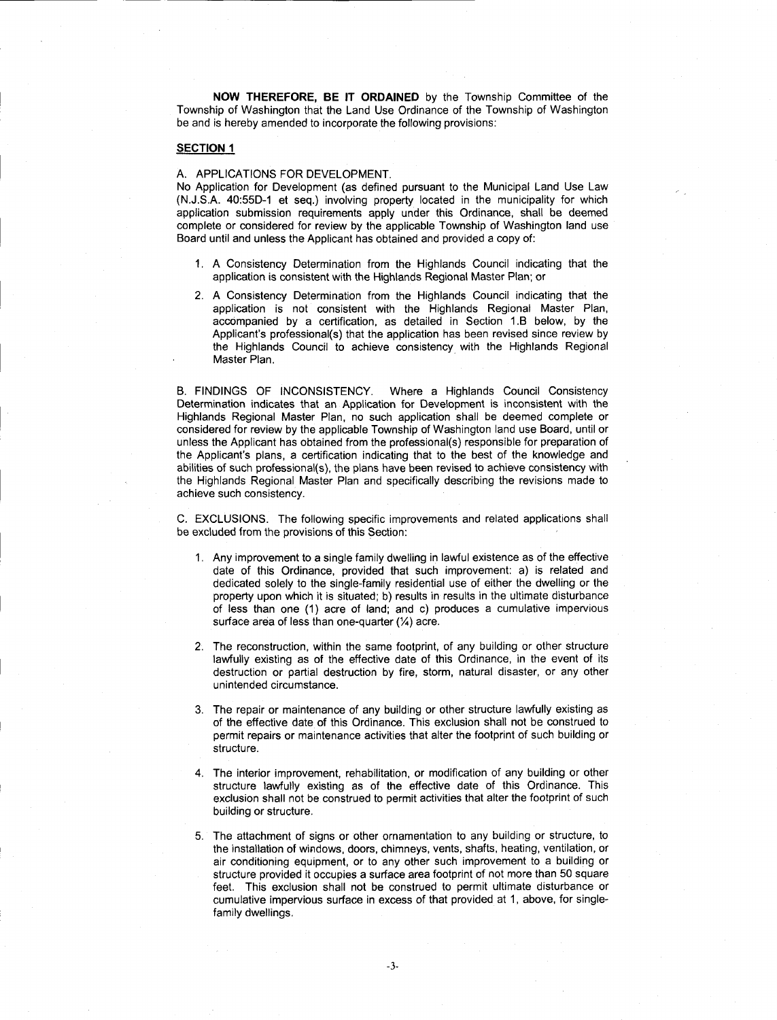NOW THEREFORE, BE IT ORDAINED by the Township Committee of the Township of Washington that the Land Use Ordinance of the Township of Washington be and is hereby amended to incorporate the following provisions

## **SECTION 1**

#### A. APPLICATIONS FOR DEVELOPMENT.

No Application for Development (as defined pursuant to the Municipal Land Use Law (N.J.S.A. 40:55D-1 et seq.) involving property located in the municipality for which SECTION 1<br>
A. APPLICATIONS FOR DEVELOPMENT.<br>
No Application for Development (as defined pursuant to the Municipal Land Use Law<br>
(N.J.S.A. 40:55D-1 et seq.) involving property located in the municipality for which<br>
applicat complete or considered for review by the applicable Township of Washington land use Board until and unless the Applicant has obtained and provided a copy of

- 1 <sup>A</sup> Consistency Determination from the Highlands Council indicating that the application is consistent with the Highlands Regional Master Plan; or
- 2 <sup>A</sup> Consistency Determination from the Highlands Council indicating that the application is not consistent with the Highlands Regional Master Plan accdmpanied by <sup>a</sup> certification as detailed in Section 1B below by the until and unless the Applicant has obtained and provided a copy of:<br>A Consistency Determination from the Highlands Council indicating that the<br>application is consistent with the Highlands Regional Master Plan; or<br>A Consist the Highlands Council to achieve consistency with the Highlands Regional Master Plan.

B. FINDINGS OF INCONSISTENCY. Where a Highlands Council Consistency Determination indicates that an Application for Development is inconsistent with the Highlands Regional Master Plan, no such application shall be deemed complete or considered for review by the applicable Township of Washington land use Board, until or unless the Applicant has obtained from the professional(s) responsible for preparation of the Highlands Council to achieve consistency with the Highlands Regiona<br>
Master Plan.<br>
B. FINDINGS OF INCONSISTENCY. Where a Highlands Council Consistency<br>
Determination indicates that an Application for Development is inc B. FINDINGS OF INCONSISTENCY. Where a Highlands Council Consistency<br>Determination indicates that an Application for Development is inconsistent with the<br>Highlands Regional Master Plan, no such application shall be deemed c B. FINDINGS OF INCONSISTENCY. Where a Highlands Council Consistency<br>Determination indicates that an Application for Development is inconsistent with the<br>Highlands Regional Master Plan, no such application shall be deemed c the Highlands Regional Master Plan and specifically describing the revisions made to achieve such consistency

C. EXCLUSIONS. The following specific improvements and related applications shall be excluded from the provisions of this Section

- 1 Any improvement to <sup>a</sup> single family dwelling in lawful existence as of the effective date of this Ordinance, provided that such improvement: a) is related and dedicated solely to the single famiy residential use of either the dwelling or the property upon which it is situated; b) results in results in the ultimate disturbance property upon which it is situated, by results in results in the unimate distance<br>of less than one (1) acre of land; and c) produces a cumulative impervious<br>surface area of less than one-quarter  $(X)$  acre.
- 2. The reconstruction, within the same footprint, of any building or other structure lawfully existing as of the effective date of this Ordinance, in the event of its destruction or partial destruction by fire, storm, natural disaster, or any other unintended circumstance
- 3 The repair or maintenance of any building or other structure lawfully existing as of the effective date of this Ordinance This exclusion shall not be construed to permit repairs or maintenance activities that alter the footprint of such building or structure.
- 4. The interior improvement, rehabilitation, or modification of any building or other structure lawfully existing as of the effective date of this Ordinance This exclusion shall not be construed to permit activities that alter the footprint of such building or structure.
- 5. The attachment of signs or other ornamentation to any building or structure, to the installation of windows, doors, chimneys, vents, shafts, heating, ventilation, or air conditioning equipment, or to any other such improvement to a building or structure provided it occupies <sup>a</sup> surface area footprint of not more than 50 square feet. This exclusion shall not be construed to permit ultimate disturbance or cumulative impervious surface in excess of that provided at 1, above, for singlefamily dwellings.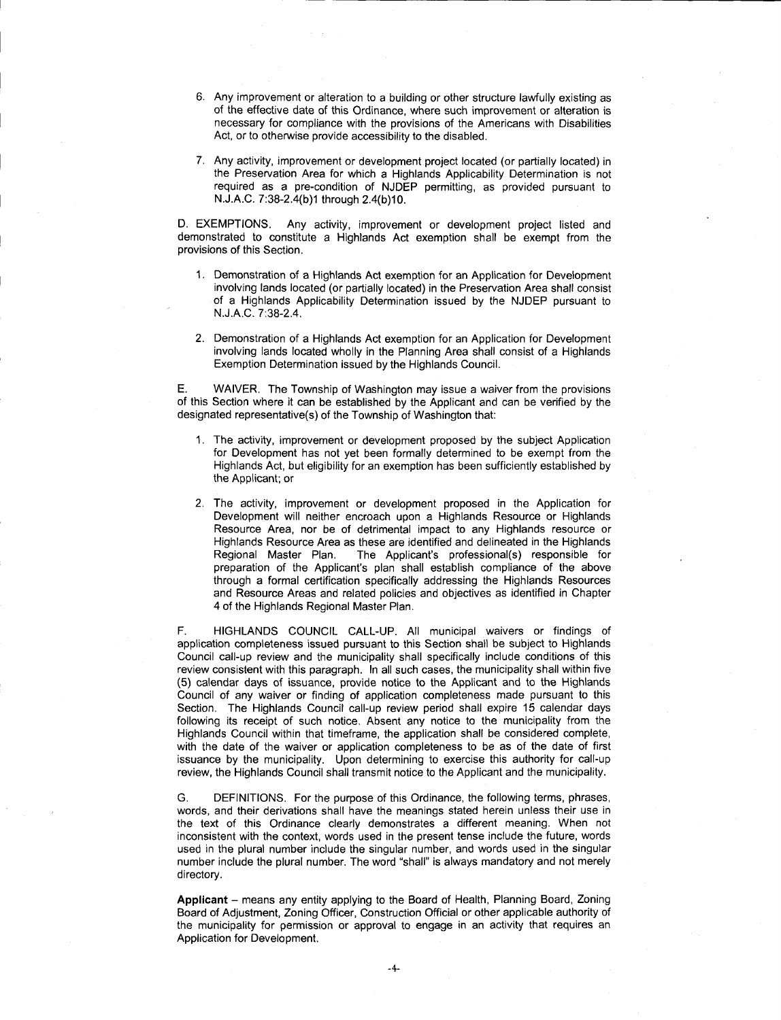- 6 Any improvement or alteration to <sup>a</sup> building or other structure lawfully existing as of the effective date of this Ordinance where such improvement or alteration is necessary for compliance with the provisions of the Americans with Disabilities Act, or to otherwise provide accessibility to the disabled
- 7. Any activity, improvement or development project located (or partially located) in Any activity, improvement or development project located (or partially located) in<br>the Preservation Area for which a Highlands Applicability Determination is not<br>required as a pre-condition of NJDEP permitting, as provided required as a pre-condition of NJDEP permitting, as provided pursuant to NJJ.A.C. 7:38-2.4(b)1 through 2.4(b)10. Any activ<br>the Pres<br>required<br>N.J.A.C. The provide accessibility<br>
20 otherwise provide accessibility<br>
20 otherwise provide accessibility<br>
21<br>
21 other a Higness a pre-condition of NJDE<br>
21<br>
32-2.4(b)1 through 2.4(b)10.<br>
32 Any activity, improvement

D. EXEMPTIONS. Any activity, improvement or development project listed and demonstrated to constitute a Highlands Act exemption shall be exempt from the provisions of this Section

- 1. Demonstration of a Highlands Act exemption for an Application for Development involving lands located (or partially located) in the Preservation Area shall consist of a Highlands Applicability Determination issued by the NJDEP pursuant to NJJA.C. 7:38-2.4. No or ans decident.<br>Demonstration of<br>involving lands loc<br>of a Highlands A<br>N.J.A.C. 7:38-2.4.
- 2 Demonstration of <sup>a</sup> Highlands Act exemption for an Application for Development involving lands located wholly in the Planning Area shall consist of <sup>a</sup> Highlands Exemption Determination issued by the Highlands Council

E. WAIVER. The Township of Washington may issue a waiver from the provisions of this Section where it can be established by the Applicant and can be verified by the designated representative(s) of the Township of Washington that: of a Highlands Applicability Determination issued by t<br>
N.J.A.C. 7:38-2.4.<br>
2. Demonstration of a Highlands Act exemption for an Appl<br>
involving lands located wholly in the Planning Area shal<br>
Exemption Determination issue

- 1. The activity, improvement or development proposed by the subject Application for Development has not yet been formally determined to be exempt from the Highlands Act, but eligibility for an exemption has been sufficiently established by the Applicant; or
- 2. The activity, improvement or development proposed in the Application for Development will neither encroach upon a Highlands Resource or Highlands Resource Area, nor be of detrimental impact to any Highlands resource or Highlands Resource Area as these are identified and delineated in the Highlands Fighlands Act, but eligibility for an exemption has been sufficiently established by<br>Highlands Act, but eligibility for an exemption has been sufficiently established by<br>the Applicant; or<br>The activity, improvement or devel The activity, improvement or development proposed in the Application for Development will neither encroach upon a Highlands Resource or Highlands<br>Resource Area, nor be of detrimental impact to any Highlands resource or<br>Hig through a formal certification specifically addressing the Highlands Resources 4 of the Highlands Regional Master Plan

F. HIGHLANDS COUNCIL CALL-UP. All municipal waivers or findings of application completeness issued pursuant to this Section shall be subject to Highlands Council call up review and the municipality shall specifically include conditions of this review consistent with this paragraph. In all such cases, the municipality shall within five (5) calendar days of issuance, provide notice to the Applicant and to the Highlands Council of any waiver or finding of application completeness made pursuant to this Section. The Highlands Council call-up review period shall expire 15 calendar days following its receipt of such notice Absent any notice to the municipality from the Highlands Council within that timeframe, the application shall be considered complete, with the date of the waiver or application completeness to be as of the date of first issuance by the municipality. Upon determining to exercise this authority for call-up review, the Highlands Council shall transmit notice to the Applicant and the municipality.

G. DEFINITIONS. For the purpose of this Ordinance, the following terms, phrases, words, and their derivations shall have the meanings stated herein unless their use in the text of this Ordinance clearly demonstrates a different meaning. When not inconsistent with the context, words used in the present tense include the future, words used in the plural number include the singular number, and words used in the singular number include the plural number. The word "shall" is always mandatory and not merely directory.

Applicant - means any entity applying to the Board of Health, Planning Board, Zoning Board of Adjustment, Zoning Officer, Construction Official or other applicable authority of the municipality for permission or approval to engage in an activity that requires an Application for Development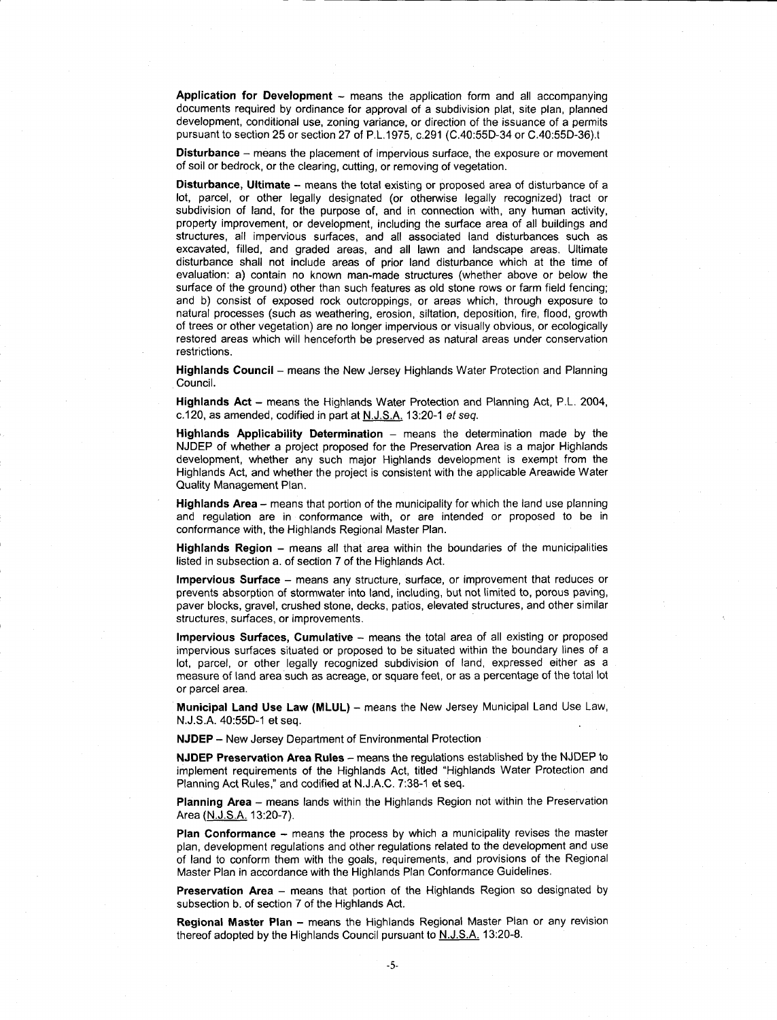Application for Development  $-$  means the application form and all accompanying documents required by ordinance for approval of a subdivision plat, site plan, planned development, conditional use, zoning variance, or direction of the issuance of a permits pursuant to section 25 or section 27 o ans the app<br>approval of<br>variance, or<br>P.L.1975, c.<br>of imperviou of as<br>or dire<br>c.29 tion form and<br>ubdivision plat,<br>ction of the issu<br>(C.40:55D-34 c<br>rface, the expo:

Disturbance - means the placement of impervious surface, the exposure or movement of soil or bedrock, or the clearing, cutting, or removing of vegetation.

all accompanying<br>site plan, planned<br>uance of a permits<br>or C.40:55D-36).t<br>bsure or movement<br>of disturbance of a<br>cognized) tract or<br>ny human activity,<br>of all buildings and<br>urbances such as<br>ae areas. Ultimate Disturbance, Ultimate - means the total existing or proposed area of disturbance of a lot, parcel, or other legally designated (or otherwise legally recognized) tract or subdivision of land, for the purpose of, and in connection with, any human activity, property improvement, or development, including the surface area of all buildings and structures, all impervious surfaces, and all associated land disturbances such as excavated, filled, and graded areas, and all lawn and landscape areas. Ultimate disturbance shall not include areas of prior land disturbance which at the time of evaluation: a) contain no known man-made structures (whether above or below the surface of the ground) other than such features as old stone rows or farm field fencing; and b) consist of exposed rock outcroppings, or areas which, through exposure to natural processes (such as weathering, erosion, siltation, deposition, fire, flood, growth of trees or other vegetation) are no longer impervious or visually obvious, or ecologically restored areas which will henceforth be preserved as natural areas under conservation restrictions

Council

Highlands Council – means the New Jersey Highlands Water Protection and Planning<br>Council.<br>Highlands Act – means the Highlands Water Protection and Planning Act, P.L. 2004<br>c.120, as amended, codified in part at <u>N.J.S.A.</u> 1 **Highlands Act** – means the Highlands Water Protection and Planning Act, P.L. 2004, c.120, as amended, codified in part at  $N. J.S.A.$  13:20-1 *et* seq.

Highlands Applicability Determination  $-$  means the determination made by the NJDEP of whether <sup>a</sup> project proposed for the Preservation Area is a major Highlands development, whether any such major Highlands development is exempt from the Highlands Act, and whether the project is consistent with the applicable Areawide Water Quality Management Plan

Highlands Area - means that portion of the municipality for which the land use planning and regulation are in conformance with, or are intended or proposed to be in conformance with, the Highlands Regional Master Plan.

**Highlands Region** – means all that area within the boundaries of the municipalities listed in subsection a. of section 7 of the Highlands Act.

Impervious Surface - means any structure, surface, or improvement that reduces or prevents absorption of stormwater into land, including, but not limited to, porous paving, paver blocks, gravel, crushed stone, decks, patios, elevated structures, and other similar structures, surfaces, or improvements.

Impervious Surfaces, Cumulative - means the total area of all existing or proposed impervious surfaces situated or proposed to be situated within the boundary lines of a lot, parcel, or other legally recognized subdivision of land, expressed either as a measure of land area such as acreage, or square feet, or as a percentage of the total lot or parcel area.<br>Municipal Land Use Law (MLUL) – measure of land area such as acreage, or square feet, or as a percentage of the total lot or parcel area.

Municipal Land Use Law (MLUL) - means the New Jersey Municipal Land Use Law, N.J.S.A. 40:55D-1 et seq.

NJDEP - New Jersey Department of Environmental Protection

NJDEP Preservation Area Rules - means the regulations established by the NJDEP to NJUEP Preservation Area Rules – means the regulations established by the NJUEP to<br>implement requirements of the Highlands Act, titled "Highlands Water Protection and<br>Planning Act Rules," and codified at N.J.A.C. 7:38-1 et **NJDEP – New Jersey Department of Environmental Protection Area Rules – means the regulations implement requirements of the Highlands Act, titled "Highlanning Act Rules," and codified at N.J.A.C. 7:38-1 et seq.<br>Planning Ac** 

Planning Area - means lands within the Highlands Region not within the Preservation Area (N.J.S.A. 13:20-7).

**Plan Conformance**  $-$  means the process by which a municipality revises the master plan development regulations and other regulations related to the development and use of land to conform them with the goals, requirements, and provisions of the Regional Master Plan in accordance with the Highlands Plan Conformance Guidelines

subsection b. of section 7 of the Highlands Act.

**Preservation Area** – means that portion of the Highlands Region so designated by subsection b. of section 7 of the Highlands Act.<br>**Regional Master Plan** – means the Highlands Regional Master Plan or any revision thereof a **Regional Master Plan –** means the Highlands Regional Master Plan or any revision thereof adopted by the Highlands Council pursuant to  $N. J.S.A.$  13:20-8.